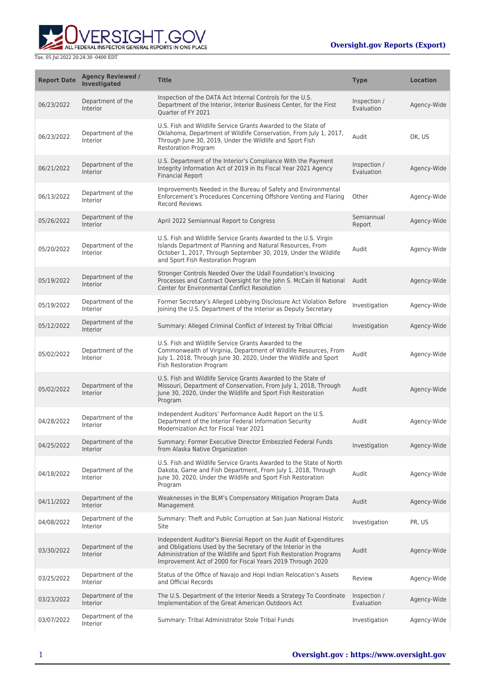

| <b>Report Date</b> | <b>Agency Reviewed /</b><br>Investigated | <b>Title</b>                                                                                                                                                                                                                                                           | <b>Type</b>                | <b>Location</b> |
|--------------------|------------------------------------------|------------------------------------------------------------------------------------------------------------------------------------------------------------------------------------------------------------------------------------------------------------------------|----------------------------|-----------------|
| 06/23/2022         | Department of the<br><b>Interior</b>     | Inspection of the DATA Act Internal Controls for the U.S.<br>Department of the Interior, Interior Business Center, for the First<br>Quarter of FY 2021                                                                                                                 | Inspection /<br>Evaluation | Agency-Wide     |
| 06/23/2022         | Department of the<br><b>Interior</b>     | U.S. Fish and Wildlife Service Grants Awarded to the State of<br>Oklahoma, Department of Wildlife Conservation, From July 1, 2017,<br>Through June 30, 2019, Under the Wildlife and Sport Fish<br><b>Restoration Program</b>                                           | Audit                      | OK, US          |
| 06/21/2022         | Department of the<br><b>Interior</b>     | U.S. Department of the Interior's Compliance With the Payment<br>Integrity Information Act of 2019 in Its Fiscal Year 2021 Agency<br><b>Financial Report</b>                                                                                                           | Inspection /<br>Evaluation | Agency-Wide     |
| 06/13/2022         | Department of the<br>Interior            | Improvements Needed in the Bureau of Safety and Environmental<br>Enforcement's Procedures Concerning Offshore Venting and Flaring<br><b>Record Reviews</b>                                                                                                             | Other                      | Agency-Wide     |
| 05/26/2022         | Department of the<br><b>Interior</b>     | April 2022 Semiannual Report to Congress                                                                                                                                                                                                                               | Semiannual<br>Report       | Agency-Wide     |
| 05/20/2022         | Department of the<br>Interior            | U.S. Fish and Wildlife Service Grants Awarded to the U.S. Virgin<br>Islands Department of Planning and Natural Resources, From<br>October 1, 2017, Through September 30, 2019, Under the Wildlife<br>and Sport Fish Restoration Program                                | Audit                      | Agency-Wide     |
| 05/19/2022         | Department of the<br><b>Interior</b>     | Stronger Controls Needed Over the Udall Foundation's Invoicing<br>Processes and Contract Oversight for the John S. McCain III National<br><b>Center for Environmental Conflict Resolution</b>                                                                          | Audit                      | Agency-Wide     |
| 05/19/2022         | Department of the<br>Interior            | Former Secretary's Alleged Lobbying Disclosure Act Violation Before<br>Joining the U.S. Department of the Interior as Deputy Secretary                                                                                                                                 | Investigation              | Agency-Wide     |
| 05/12/2022         | Department of the<br><b>Interior</b>     | Summary: Alleged Criminal Conflict of Interest by Tribal Official                                                                                                                                                                                                      | Investigation              | Agency-Wide     |
| 05/02/2022         | Department of the<br>Interior            | U.S. Fish and Wildlife Service Grants Awarded to the<br>Commonwealth of Virginia, Department of Wildlife Resources, From<br>July 1, 2018, Through June 30, 2020, Under the Wildlife and Sport<br>Fish Restoration Program                                              | Audit                      | Agency-Wide     |
| 05/02/2022         | Department of the<br><b>Interior</b>     | U.S. Fish and Wildlife Service Grants Awarded to the State of<br>Missouri, Department of Conservation, From July 1, 2018, Through<br>June 30, 2020, Under the Wildlife and Sport Fish Restoration<br>Program                                                           | Audit                      | Agency-Wide     |
| 04/28/2022         | Department of the<br>Interior            | Independent Auditors' Performance Audit Report on the U.S.<br>Department of the Interior Federal Information Security<br>Modernization Act for Fiscal Year 2021                                                                                                        | Audit                      | Agency-Wide     |
| 04/25/2022         | Department of the<br>Interior            | Summary: Former Executive Director Embezzled Federal Funds<br>from Alaska Native Organization                                                                                                                                                                          | Investigation              | Agency-Wide     |
| 04/18/2022         | Department of the<br><b>Interior</b>     | U.S. Fish and Wildlife Service Grants Awarded to the State of North<br>Dakota, Game and Fish Department, From July 1, 2018, Through<br>June 30, 2020, Under the Wildlife and Sport Fish Restoration<br>Program                                                         | Audit                      | Agency-Wide     |
| 04/11/2022         | Department of the<br><b>Interior</b>     | Weaknesses in the BLM's Compensatory Mitigation Program Data<br>Management                                                                                                                                                                                             | Audit                      | Agency-Wide     |
| 04/08/2022         | Department of the<br><b>Interior</b>     | Summary: Theft and Public Corruption at San Juan National Historic<br>Site                                                                                                                                                                                             | Investigation              | PR, US          |
| 03/30/2022         | Department of the<br><b>Interior</b>     | Independent Auditor's Biennial Report on the Audit of Expenditures<br>and Obligations Used by the Secretary of the Interior in the<br>Administration of the Wildlife and Sport Fish Restoration Programs<br>Improvement Act of 2000 for Fiscal Years 2019 Through 2020 | Audit                      | Agency-Wide     |
| 03/25/2022         | Department of the<br>Interior            | Status of the Office of Navajo and Hopi Indian Relocation's Assets<br>and Official Records                                                                                                                                                                             | Review                     | Agency-Wide     |
| 03/23/2022         | Department of the<br><b>Interior</b>     | The U.S. Department of the Interior Needs a Strategy To Coordinate<br>Implementation of the Great American Outdoors Act                                                                                                                                                | Inspection /<br>Evaluation | Agency-Wide     |
| 03/07/2022         | Department of the<br>Interior            | Summary: Tribal Administrator Stole Tribal Funds                                                                                                                                                                                                                       | Investigation              | Agency-Wide     |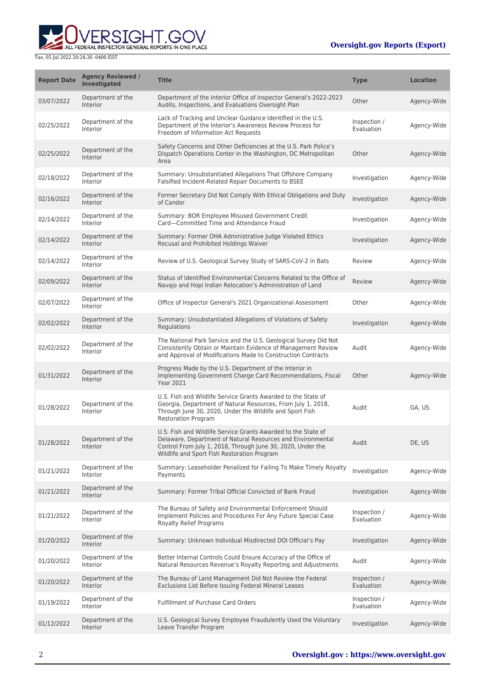

| <b>Report Date</b> | <b>Agency Reviewed /</b><br>Investigated | <b>Title</b>                                                                                                                                                                                                                               | <b>Type</b>                | <b>Location</b> |
|--------------------|------------------------------------------|--------------------------------------------------------------------------------------------------------------------------------------------------------------------------------------------------------------------------------------------|----------------------------|-----------------|
| 03/07/2022         | Department of the<br>Interior            | Department of the Interior Office of Inspector General's 2022-2023<br>Audits, Inspections, and Evaluations Oversight Plan                                                                                                                  | Other                      | Agency-Wide     |
| 02/25/2022         | Department of the<br>Interior            | Lack of Tracking and Unclear Guidance Identified in the U.S.<br>Department of the Interior's Awareness Review Process for<br>Freedom of Information Act Requests                                                                           | Inspection /<br>Evaluation | Agency-Wide     |
| 02/25/2022         | Department of the<br>Interior            | Safety Concerns and Other Deficiencies at the U.S. Park Police's<br>Dispatch Operations Center in the Washington, DC Metropolitan<br>Area                                                                                                  | Other                      | Agency-Wide     |
| 02/18/2022         | Department of the<br>Interior            | Summary: Unsubstantiated Allegations That Offshore Company<br>Falsified Incident-Related Repair Documents to BSEE                                                                                                                          | Investigation              | Agency-Wide     |
| 02/16/2022         | Department of the<br>Interior            | Former Secretary Did Not Comply With Ethical Obligations and Duty<br>of Candor                                                                                                                                                             | Investigation              | Agency-Wide     |
| 02/14/2022         | Department of the<br>Interior            | Summary: BOR Employee Misused Government Credit<br>Card-Committed Time and Attendance Fraud                                                                                                                                                | Investigation              | Agency-Wide     |
| 02/14/2022         | Department of the<br>Interior            | Summary: Former OHA Administrative Judge Violated Ethics<br>Recusal and Prohibited Holdings Waiver                                                                                                                                         | Investigation              | Agency-Wide     |
| 02/14/2022         | Department of the<br>Interior            | Review of U.S. Geological Survey Study of SARS-CoV-2 in Bats                                                                                                                                                                               | Review                     | Agency-Wide     |
| 02/09/2022         | Department of the<br>Interior            | Status of Identified Environmental Concerns Related to the Office of<br>Navajo and Hopi Indian Relocation's Administration of Land                                                                                                         | Review                     | Agency-Wide     |
| 02/07/2022         | Department of the<br>Interior            | Office of Inspector General's 2021 Organizational Assessment                                                                                                                                                                               | Other                      | Agency-Wide     |
| 02/02/2022         | Department of the<br>Interior            | Summary: Unsubstantiated Allegations of Violations of Safety<br>Regulations                                                                                                                                                                | Investigation              | Agency-Wide     |
| 02/02/2022         | Department of the<br>Interior            | The National Park Service and the U.S. Geological Survey Did Not<br>Consistently Obtain or Maintain Evidence of Management Review<br>and Approval of Modifications Made to Construction Contracts                                          | Audit                      | Agency-Wide     |
| 01/31/2022         | Department of the<br>Interior            | Progress Made by the U.S. Department of the Interior in<br>Implementing Government Charge Card Recommendations, Fiscal<br><b>Year 2021</b>                                                                                                 | Other                      | Agency-Wide     |
| 01/28/2022         | Department of the<br>Interior            | U.S. Fish and Wildlife Service Grants Awarded to the State of<br>Georgia, Department of Natural Resources, From July 1, 2018,<br>Through June 30, 2020, Under the Wildlife and Sport Fish<br><b>Restoration Program</b>                    | Audit                      | GA, US          |
| 01/28/2022         | Department of the<br>Interior            | U.S. Fish and Wildlife Service Grants Awarded to the State of<br>Delaware, Department of Natural Resources and Environmental<br>Control From July 1, 2018, Through June 30, 2020, Under the<br>Wildlife and Sport Fish Restoration Program | Audit                      | DE, US          |
| 01/21/2022         | Department of the<br>Interior            | Summary: Leaseholder Penalized for Failing To Make Timely Royalty<br>Payments                                                                                                                                                              | Investigation              | Agency-Wide     |
| 01/21/2022         | Department of the<br>Interior            | Summary: Former Tribal Official Convicted of Bank Fraud                                                                                                                                                                                    | Investigation              | Agency-Wide     |
| 01/21/2022         | Department of the<br>Interior            | The Bureau of Safety and Environmental Enforcement Should<br>Implement Policies and Procedures For Any Future Special Case<br><b>Royalty Relief Programs</b>                                                                               | Inspection /<br>Evaluation | Agency-Wide     |
| 01/20/2022         | Department of the<br>Interior            | Summary: Unknown Individual Misdirected DOI Official's Pay                                                                                                                                                                                 | Investigation              | Agency-Wide     |
| 01/20/2022         | Department of the<br>Interior            | Better Internal Controls Could Ensure Accuracy of the Office of<br>Natural Resources Revenue's Royalty Reporting and Adjustments                                                                                                           | Audit                      | Agency-Wide     |
| 01/20/2022         | Department of the<br>Interior            | The Bureau of Land Management Did Not Review the Federal<br>Exclusions List Before Issuing Federal Mineral Leases                                                                                                                          | Inspection /<br>Evaluation | Agency-Wide     |
| 01/19/2022         | Department of the<br>Interior            | <b>Fulfillment of Purchase Card Orders</b>                                                                                                                                                                                                 | Inspection /<br>Evaluation | Agency-Wide     |
| 01/12/2022         | Department of the<br>Interior            | U.S. Geological Survey Employee Fraudulently Used the Voluntary<br>Leave Transfer Program                                                                                                                                                  | Investigation              | Agency-Wide     |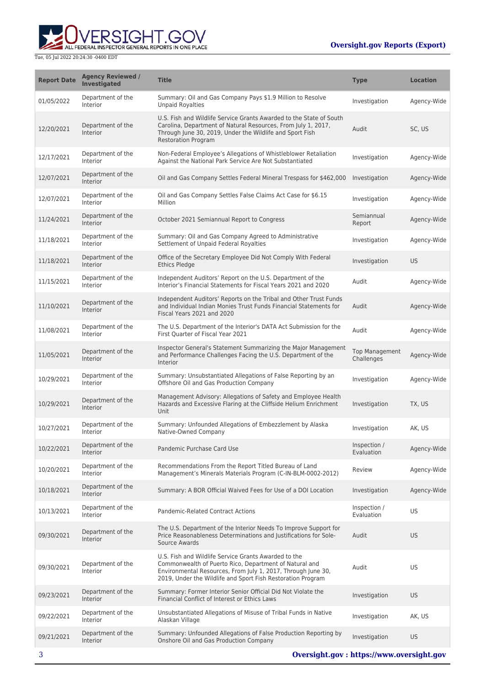

| <b>Report Date</b> | <b>Agency Reviewed /</b><br><b>Investigated</b> | <b>Title</b>                                                                                                                                                                                                                                  | <b>Type</b>                         | <b>Location</b> |
|--------------------|-------------------------------------------------|-----------------------------------------------------------------------------------------------------------------------------------------------------------------------------------------------------------------------------------------------|-------------------------------------|-----------------|
| 01/05/2022         | Department of the<br>Interior                   | Summary: Oil and Gas Company Pays \$1.9 Million to Resolve<br><b>Unpaid Royalties</b>                                                                                                                                                         | Investigation                       | Agency-Wide     |
| 12/20/2021         | Department of the<br>Interior                   | U.S. Fish and Wildlife Service Grants Awarded to the State of South<br>Carolina, Department of Natural Resources, From July 1, 2017,<br>Through June 30, 2019, Under the Wildlife and Sport Fish<br><b>Restoration Program</b>                | Audit                               | SC, US          |
| 12/17/2021         | Department of the<br>Interior                   | Non-Federal Employee's Allegations of Whistleblower Retaliation<br>Against the National Park Service Are Not Substantiated                                                                                                                    | Investigation                       | Agency-Wide     |
| 12/07/2021         | Department of the<br>Interior                   | Oil and Gas Company Settles Federal Mineral Trespass for \$462,000                                                                                                                                                                            | Investigation                       | Agency-Wide     |
| 12/07/2021         | Department of the<br>Interior                   | Oil and Gas Company Settles False Claims Act Case for \$6.15<br>Million                                                                                                                                                                       | Investigation                       | Agency-Wide     |
| 11/24/2021         | Department of the<br>Interior                   | October 2021 Semiannual Report to Congress                                                                                                                                                                                                    | Semiannual<br>Report                | Agency-Wide     |
| 11/18/2021         | Department of the<br>Interior                   | Summary: Oil and Gas Company Agreed to Administrative<br>Settlement of Unpaid Federal Royalties                                                                                                                                               | Investigation                       | Agency-Wide     |
| 11/18/2021         | Department of the<br>Interior                   | Office of the Secretary Employee Did Not Comply With Federal<br><b>Ethics Pledge</b>                                                                                                                                                          | Investigation                       | <b>US</b>       |
| 11/15/2021         | Department of the<br>Interior                   | Independent Auditors' Report on the U.S. Department of the<br>Interior's Financial Statements for Fiscal Years 2021 and 2020                                                                                                                  | Audit                               | Agency-Wide     |
| 11/10/2021         | Department of the<br>Interior                   | Independent Auditors' Reports on the Tribal and Other Trust Funds<br>and Individual Indian Monies Trust Funds Financial Statements for<br>Fiscal Years 2021 and 2020                                                                          | Audit                               | Agency-Wide     |
| 11/08/2021         | Department of the<br>Interior                   | The U.S. Department of the Interior's DATA Act Submission for the<br>First Quarter of Fiscal Year 2021                                                                                                                                        | Audit                               | Agency-Wide     |
| 11/05/2021         | Department of the<br>Interior                   | Inspector General's Statement Summarizing the Major Management<br>and Performance Challenges Facing the U.S. Department of the<br>Interior                                                                                                    | <b>Top Management</b><br>Challenges | Agency-Wide     |
| 10/29/2021         | Department of the<br>Interior                   | Summary: Unsubstantiated Allegations of False Reporting by an<br>Offshore Oil and Gas Production Company                                                                                                                                      | Investigation                       | Agency-Wide     |
| 10/29/2021         | Department of the<br>Interior                   | Management Advisory: Allegations of Safety and Employee Health<br>Hazards and Excessive Flaring at the Cliffside Helium Enrichment<br>Unit                                                                                                    | Investigation                       | TX, US          |
| 10/27/2021         | Department of the<br>Interior                   | Summary: Unfounded Allegations of Embezzlement by Alaska<br>Native-Owned Company                                                                                                                                                              | Investigation                       | AK, US          |
| 10/22/2021         | Department of the<br>Interior                   | Pandemic Purchase Card Use                                                                                                                                                                                                                    | Inspection /<br>Evaluation          | Agency-Wide     |
| 10/20/2021         | Department of the<br>Interior                   | Recommendations From the Report Titled Bureau of Land<br>Management's Minerals Materials Program (C-IN-BLM-0002-2012)                                                                                                                         | Review                              | Agency-Wide     |
| 10/18/2021         | Department of the<br>Interior                   | Summary: A BOR Official Waived Fees for Use of a DOI Location                                                                                                                                                                                 | Investigation                       | Agency-Wide     |
| 10/13/2021         | Department of the<br>Interior                   | Pandemic-Related Contract Actions                                                                                                                                                                                                             | Inspection /<br>Evaluation          | US              |
| 09/30/2021         | Department of the<br>Interior                   | The U.S. Department of the Interior Needs To Improve Support for<br>Price Reasonableness Determinations and Justifications for Sole-<br>Source Awards                                                                                         | Audit                               | <b>US</b>       |
| 09/30/2021         | Department of the<br>Interior                   | U.S. Fish and Wildlife Service Grants Awarded to the<br>Commonwealth of Puerto Rico, Department of Natural and<br>Environmental Resources, From July 1, 2017, Through June 30,<br>2019, Under the Wildlife and Sport Fish Restoration Program | Audit                               | US              |
| 09/23/2021         | Department of the<br>Interior                   | Summary: Former Interior Senior Official Did Not Violate the<br>Financial Conflict of Interest or Ethics Laws                                                                                                                                 | Investigation                       | US.             |
| 09/22/2021         | Department of the<br>Interior                   | Unsubstantiated Allegations of Misuse of Tribal Funds in Native<br>Alaskan Village                                                                                                                                                            | Investigation                       | AK, US          |
| 09/21/2021         | Department of the<br>Interior                   | Summary: Unfounded Allegations of False Production Reporting by<br>Onshore Oil and Gas Production Company                                                                                                                                     | Investigation                       | <b>US</b>       |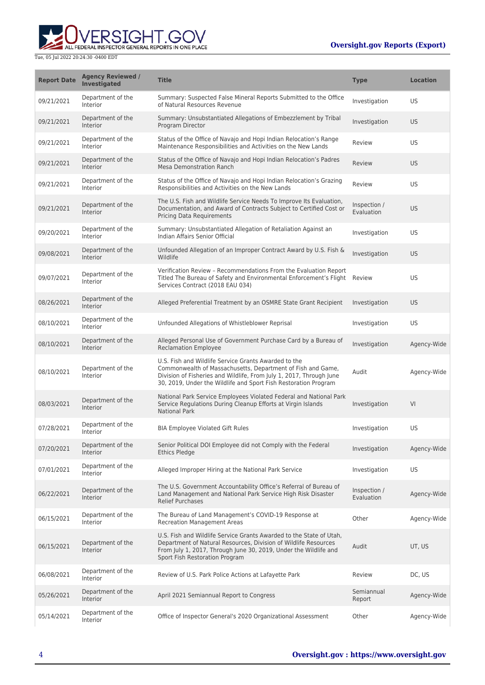

| <b>Report Date</b> | <b>Agency Reviewed /</b><br><b>Investigated</b> | <b>Title</b>                                                                                                                                                                                                                                                  | <b>Type</b>                | <b>Location</b> |
|--------------------|-------------------------------------------------|---------------------------------------------------------------------------------------------------------------------------------------------------------------------------------------------------------------------------------------------------------------|----------------------------|-----------------|
| 09/21/2021         | Department of the<br>Interior                   | Summary: Suspected False Mineral Reports Submitted to the Office<br>of Natural Resources Revenue                                                                                                                                                              | Investigation              | US              |
| 09/21/2021         | Department of the<br>Interior                   | Summary: Unsubstantiated Allegations of Embezzlement by Tribal<br>Program Director                                                                                                                                                                            | Investigation              | <b>US</b>       |
| 09/21/2021         | Department of the<br>Interior                   | Status of the Office of Navajo and Hopi Indian Relocation's Range<br>Maintenance Responsibilities and Activities on the New Lands                                                                                                                             | Review                     | US              |
| 09/21/2021         | Department of the<br>Interior                   | Status of the Office of Navajo and Hopi Indian Relocation's Padres<br><b>Mesa Demonstration Ranch</b>                                                                                                                                                         | Review                     | <b>US</b>       |
| 09/21/2021         | Department of the<br>Interior                   | Status of the Office of Navajo and Hopi Indian Relocation's Grazing<br>Responsibilities and Activities on the New Lands                                                                                                                                       | Review                     | US              |
| 09/21/2021         | Department of the<br>Interior                   | The U.S. Fish and Wildlife Service Needs To Improve Its Evaluation,<br>Documentation, and Award of Contracts Subject to Certified Cost or<br><b>Pricing Data Requirements</b>                                                                                 | Inspection /<br>Evaluation | <b>US</b>       |
| 09/20/2021         | Department of the<br>Interior                   | Summary: Unsubstantiated Allegation of Retaliation Against an<br>Indian Affairs Senior Official                                                                                                                                                               | Investigation              | US              |
| 09/08/2021         | Department of the<br>Interior                   | Unfounded Allegation of an Improper Contract Award by U.S. Fish &<br>Wildlife                                                                                                                                                                                 | Investigation              | <b>US</b>       |
| 09/07/2021         | Department of the<br>Interior                   | Verification Review - Recommendations From the Evaluation Report<br>Titled The Bureau of Safety and Environmental Enforcement's Flight<br>Services Contract (2018 EAU 034)                                                                                    | Review                     | US              |
| 08/26/2021         | Department of the<br><b>Interior</b>            | Alleged Preferential Treatment by an OSMRE State Grant Recipient                                                                                                                                                                                              | Investigation              | <b>US</b>       |
| 08/10/2021         | Department of the<br>Interior                   | Unfounded Allegations of Whistleblower Reprisal                                                                                                                                                                                                               | Investigation              | US              |
| 08/10/2021         | Department of the<br>Interior                   | Alleged Personal Use of Government Purchase Card by a Bureau of<br><b>Reclamation Employee</b>                                                                                                                                                                | Investigation              | Agency-Wide     |
| 08/10/2021         | Department of the<br>Interior                   | U.S. Fish and Wildlife Service Grants Awarded to the<br>Commonwealth of Massachusetts, Department of Fish and Game,<br>Division of Fisheries and Wildlife, From July 1, 2017, Through June<br>30, 2019, Under the Wildlife and Sport Fish Restoration Program | Audit                      | Agency-Wide     |
| 08/03/2021         | Department of the<br>Interior                   | National Park Service Employees Violated Federal and National Park<br>Service Regulations During Cleanup Efforts at Virgin Islands<br><b>National Park</b>                                                                                                    | Investigation              | VI              |
| 07/28/2021         | Department of the<br>Interior                   | <b>BIA Employee Violated Gift Rules</b>                                                                                                                                                                                                                       | Investigation              | US              |
| 07/20/2021         | Department of the<br>Interior                   | Senior Political DOI Employee did not Comply with the Federal<br>Ethics Pledge                                                                                                                                                                                | Investigation              | Agency-Wide     |
| 07/01/2021         | Department of the<br>Interior                   | Alleged Improper Hiring at the National Park Service                                                                                                                                                                                                          | Investigation              | US              |
| 06/22/2021         | Department of the<br>Interior                   | The U.S. Government Accountability Office's Referral of Bureau of<br>Land Management and National Park Service High Risk Disaster<br><b>Relief Purchases</b>                                                                                                  | Inspection /<br>Evaluation | Agency-Wide     |
| 06/15/2021         | Department of the<br>Interior                   | The Bureau of Land Management's COVID-19 Response at<br><b>Recreation Management Areas</b>                                                                                                                                                                    | Other                      | Agency-Wide     |
| 06/15/2021         | Department of the<br>Interior                   | U.S. Fish and Wildlife Service Grants Awarded to the State of Utah,<br>Department of Natural Resources, Division of Wildlife Resources<br>From July 1, 2017, Through June 30, 2019, Under the Wildlife and<br>Sport Fish Restoration Program                  | Audit                      | UT, US          |
| 06/08/2021         | Department of the<br>Interior                   | Review of U.S. Park Police Actions at Lafayette Park                                                                                                                                                                                                          | Review                     | DC, US          |
| 05/26/2021         | Department of the<br>Interior                   | April 2021 Semiannual Report to Congress                                                                                                                                                                                                                      | Semiannual<br>Report       | Agency-Wide     |
| 05/14/2021         | Department of the<br>Interior                   | Office of Inspector General's 2020 Organizational Assessment                                                                                                                                                                                                  | Other                      | Agency-Wide     |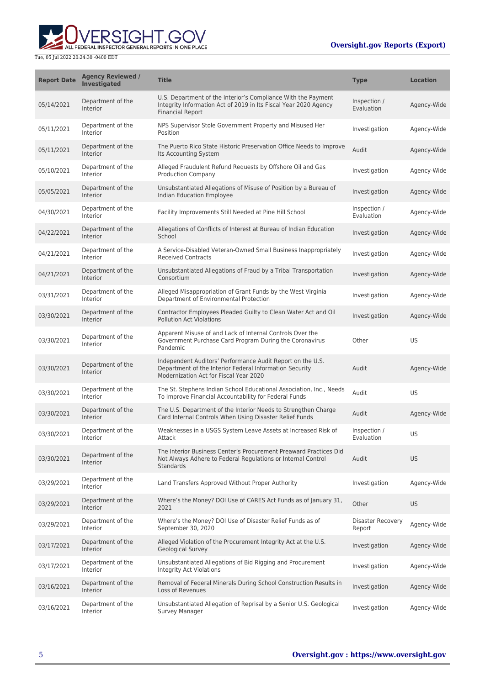

| <b>Report Date</b> | <b>Agency Reviewed /</b><br>Investigated | <b>Title</b>                                                                                                                                                    | <b>Type</b>                 | <b>Location</b> |
|--------------------|------------------------------------------|-----------------------------------------------------------------------------------------------------------------------------------------------------------------|-----------------------------|-----------------|
| 05/14/2021         | Department of the<br>Interior            | U.S. Department of the Interior's Compliance With the Payment<br>Integrity Information Act of 2019 in Its Fiscal Year 2020 Agency<br><b>Financial Report</b>    | Inspection /<br>Evaluation  | Agency-Wide     |
| 05/11/2021         | Department of the<br>Interior            | NPS Supervisor Stole Government Property and Misused Her<br>Position                                                                                            | Investigation               | Agency-Wide     |
| 05/11/2021         | Department of the<br>Interior            | The Puerto Rico State Historic Preservation Office Needs to Improve<br>Its Accounting System                                                                    | Audit                       | Agency-Wide     |
| 05/10/2021         | Department of the<br>Interior            | Alleged Fraudulent Refund Requests by Offshore Oil and Gas<br><b>Production Company</b>                                                                         | Investigation               | Agency-Wide     |
| 05/05/2021         | Department of the<br>Interior            | Unsubstantiated Allegations of Misuse of Position by a Bureau of<br>Indian Education Employee                                                                   | Investigation               | Agency-Wide     |
| 04/30/2021         | Department of the<br>Interior            | Facility Improvements Still Needed at Pine Hill School                                                                                                          | Inspection /<br>Evaluation  | Agency-Wide     |
| 04/22/2021         | Department of the<br>Interior            | Allegations of Conflicts of Interest at Bureau of Indian Education<br>School                                                                                    | Investigation               | Agency-Wide     |
| 04/21/2021         | Department of the<br>Interior            | A Service-Disabled Veteran-Owned Small Business Inappropriately<br><b>Received Contracts</b>                                                                    | Investigation               | Agency-Wide     |
| 04/21/2021         | Department of the<br>Interior            | Unsubstantiated Allegations of Fraud by a Tribal Transportation<br>Consortium                                                                                   | Investigation               | Agency-Wide     |
| 03/31/2021         | Department of the<br>Interior            | Alleged Misappropriation of Grant Funds by the West Virginia<br>Department of Environmental Protection                                                          | Investigation               | Agency-Wide     |
| 03/30/2021         | Department of the<br>Interior            | Contractor Employees Pleaded Guilty to Clean Water Act and Oil<br><b>Pollution Act Violations</b>                                                               | Investigation               | Agency-Wide     |
| 03/30/2021         | Department of the<br>Interior            | Apparent Misuse of and Lack of Internal Controls Over the<br>Government Purchase Card Program During the Coronavirus<br>Pandemic                                | Other                       | US              |
| 03/30/2021         | Department of the<br>Interior            | Independent Auditors' Performance Audit Report on the U.S.<br>Department of the Interior Federal Information Security<br>Modernization Act for Fiscal Year 2020 | Audit                       | Agency-Wide     |
| 03/30/2021         | Department of the<br>Interior            | The St. Stephens Indian School Educational Association, Inc., Needs<br>To Improve Financial Accountability for Federal Funds                                    | Audit                       | US              |
| 03/30/2021         | Department of the<br>Interior            | The U.S. Department of the Interior Needs to Strengthen Charge<br>Card Internal Controls When Using Disaster Relief Funds                                       | Audit                       | Agency-Wide     |
| 03/30/2021         | Department of the<br>Interior            | Weaknesses in a USGS System Leave Assets at Increased Risk of<br>Attack                                                                                         | Inspection /<br>Evaluation  | US              |
| 03/30/2021         | Department of the<br>Interior            | The Interior Business Center's Procurement Preaward Practices Did<br>Not Always Adhere to Federal Regulations or Internal Control<br>Standards                  | Audit                       | US              |
| 03/29/2021         | Department of the<br>Interior            | Land Transfers Approved Without Proper Authority                                                                                                                | Investigation               | Agency-Wide     |
| 03/29/2021         | Department of the<br>Interior            | Where's the Money? DOI Use of CARES Act Funds as of January 31,<br>2021                                                                                         | Other                       | <b>US</b>       |
| 03/29/2021         | Department of the<br>Interior            | Where's the Money? DOI Use of Disaster Relief Funds as of<br>September 30, 2020                                                                                 | Disaster Recovery<br>Report | Agency-Wide     |
| 03/17/2021         | Department of the<br>Interior            | Alleged Violation of the Procurement Integrity Act at the U.S.<br><b>Geological Survey</b>                                                                      | Investigation               | Agency-Wide     |
| 03/17/2021         | Department of the<br>Interior            | Unsubstantiated Allegations of Bid Rigging and Procurement<br>Integrity Act Violations                                                                          | Investigation               | Agency-Wide     |
| 03/16/2021         | Department of the<br>Interior            | Removal of Federal Minerals During School Construction Results in<br>Loss of Revenues                                                                           | Investigation               | Agency-Wide     |
| 03/16/2021         | Department of the<br>Interior            | Unsubstantiated Allegation of Reprisal by a Senior U.S. Geological<br>Survey Manager                                                                            | Investigation               | Agency-Wide     |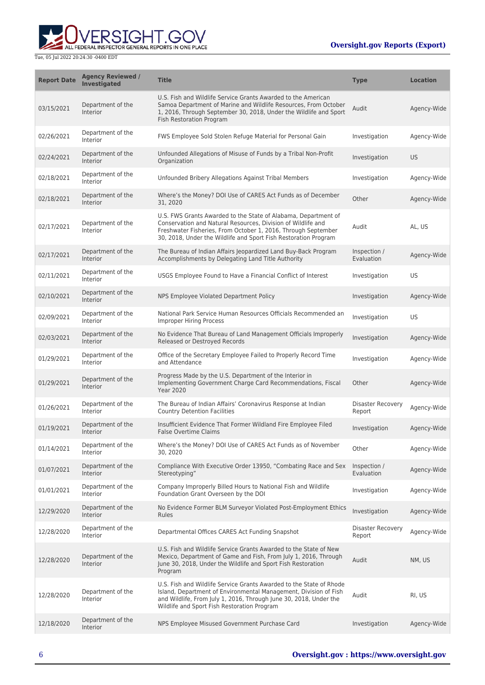

| <b>Report Date</b> | <b>Agency Reviewed /</b><br><b>Investigated</b> | <b>Title</b>                                                                                                                                                                                                                                                       | <b>Type</b>                        | <b>Location</b> |
|--------------------|-------------------------------------------------|--------------------------------------------------------------------------------------------------------------------------------------------------------------------------------------------------------------------------------------------------------------------|------------------------------------|-----------------|
| 03/15/2021         | Department of the<br>Interior                   | U.S. Fish and Wildlife Service Grants Awarded to the American<br>Samoa Department of Marine and Wildlife Resources, From October<br>1, 2016, Through September 30, 2018, Under the Wildlife and Sport<br>Fish Restoration Program                                  | Audit                              | Agency-Wide     |
| 02/26/2021         | Department of the<br>Interior                   | FWS Employee Sold Stolen Refuge Material for Personal Gain                                                                                                                                                                                                         | Investigation                      | Agency-Wide     |
| 02/24/2021         | Department of the<br>Interior                   | Unfounded Allegations of Misuse of Funds by a Tribal Non-Profit<br>Organization                                                                                                                                                                                    | Investigation                      | US              |
| 02/18/2021         | Department of the<br>Interior                   | Unfounded Bribery Allegations Against Tribal Members                                                                                                                                                                                                               | Investigation                      | Agency-Wide     |
| 02/18/2021         | Department of the<br>Interior                   | Where's the Money? DOI Use of CARES Act Funds as of December<br>31, 2020                                                                                                                                                                                           | Other                              | Agency-Wide     |
| 02/17/2021         | Department of the<br>Interior                   | U.S. FWS Grants Awarded to the State of Alabama, Department of<br>Conservation and Natural Resources, Division of Wildlife and<br>Freshwater Fisheries, From October 1, 2016, Through September<br>30, 2018, Under the Wildlife and Sport Fish Restoration Program | Audit                              | AL, US          |
| 02/17/2021         | Department of the<br>Interior                   | The Bureau of Indian Affairs Jeopardized Land Buy-Back Program<br>Accomplishments by Delegating Land Title Authority                                                                                                                                               | Inspection /<br>Evaluation         | Agency-Wide     |
| 02/11/2021         | Department of the<br>Interior                   | USGS Employee Found to Have a Financial Conflict of Interest                                                                                                                                                                                                       | Investigation                      | US              |
| 02/10/2021         | Department of the<br>Interior                   | NPS Employee Violated Department Policy                                                                                                                                                                                                                            | Investigation                      | Agency-Wide     |
| 02/09/2021         | Department of the<br>Interior                   | National Park Service Human Resources Officials Recommended an<br><b>Improper Hiring Process</b>                                                                                                                                                                   | Investigation                      | US              |
| 02/03/2021         | Department of the<br>Interior                   | No Evidence That Bureau of Land Management Officials Improperly<br>Released or Destroyed Records                                                                                                                                                                   | Investigation                      | Agency-Wide     |
| 01/29/2021         | Department of the<br>Interior                   | Office of the Secretary Employee Failed to Properly Record Time<br>and Attendance                                                                                                                                                                                  | Investigation                      | Agency-Wide     |
| 01/29/2021         | Department of the<br>Interior                   | Progress Made by the U.S. Department of the Interior in<br>Implementing Government Charge Card Recommendations, Fiscal<br><b>Year 2020</b>                                                                                                                         | Other                              | Agency-Wide     |
| 01/26/2021         | Department of the<br>Interior                   | The Bureau of Indian Affairs' Coronavirus Response at Indian<br><b>Country Detention Facilities</b>                                                                                                                                                                | <b>Disaster Recovery</b><br>Report | Agency-Wide     |
| 01/19/2021         | Department of the<br>Interior                   | Insufficient Evidence That Former Wildland Fire Employee Filed<br><b>False Overtime Claims</b>                                                                                                                                                                     | Investigation                      | Agency-Wide     |
| 01/14/2021         | Department of the<br>Interior                   | Where's the Money? DOI Use of CARES Act Funds as of November<br>30.2020                                                                                                                                                                                            | Other                              | Agency-Wide     |
| 01/07/2021         | Department of the<br>Interior                   | Compliance With Executive Order 13950, "Combating Race and Sex<br>Stereotyping"                                                                                                                                                                                    | Inspection /<br>Evaluation         | Agency-Wide     |
| 01/01/2021         | Department of the<br>Interior                   | Company Improperly Billed Hours to National Fish and Wildlife<br>Foundation Grant Overseen by the DOI                                                                                                                                                              | Investigation                      | Agency-Wide     |
| 12/29/2020         | Department of the<br>Interior                   | No Evidence Former BLM Surveyor Violated Post-Employment Ethics<br>Rules                                                                                                                                                                                           | Investigation                      | Agency-Wide     |
| 12/28/2020         | Department of the<br>Interior                   | Departmental Offices CARES Act Funding Snapshot                                                                                                                                                                                                                    | <b>Disaster Recovery</b><br>Report | Agency-Wide     |
| 12/28/2020         | Department of the<br>Interior                   | U.S. Fish and Wildlife Service Grants Awarded to the State of New<br>Mexico, Department of Game and Fish, From July 1, 2016, Through<br>June 30, 2018, Under the Wildlife and Sport Fish Restoration<br>Program                                                    | Audit                              | NM, US          |
| 12/28/2020         | Department of the<br>Interior                   | U.S. Fish and Wildlife Service Grants Awarded to the State of Rhode<br>Island, Department of Environmental Management, Division of Fish<br>and Wildlife, From July 1, 2016, Through June 30, 2018, Under the<br>Wildlife and Sport Fish Restoration Program        | Audit                              | RI, US          |
| 12/18/2020         | Department of the<br>Interior                   | NPS Employee Misused Government Purchase Card                                                                                                                                                                                                                      | Investigation                      | Agency-Wide     |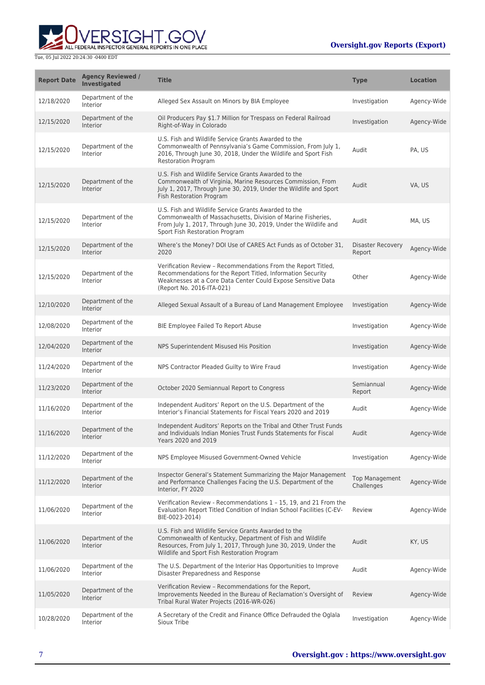

| <b>Report Date</b> | <b>Agency Reviewed /</b><br>Investigated | <b>Title</b>                                                                                                                                                                                                                       | <b>Type</b>                         | <b>Location</b> |
|--------------------|------------------------------------------|------------------------------------------------------------------------------------------------------------------------------------------------------------------------------------------------------------------------------------|-------------------------------------|-----------------|
| 12/18/2020         | Department of the<br>Interior            | Alleged Sex Assault on Minors by BIA Employee                                                                                                                                                                                      | Investigation                       | Agency-Wide     |
| 12/15/2020         | Department of the<br><b>Interior</b>     | Oil Producers Pay \$1.7 Million for Trespass on Federal Railroad<br>Right-of-Way in Colorado                                                                                                                                       | Investigation                       | Agency-Wide     |
| 12/15/2020         | Department of the<br>Interior            | U.S. Fish and Wildlife Service Grants Awarded to the<br>Commonwealth of Pennsylvania's Game Commission, From July 1,<br>2016, Through June 30, 2018, Under the Wildlife and Sport Fish<br>Restoration Program                      | Audit                               | PA, US          |
| 12/15/2020         | Department of the<br>Interior            | U.S. Fish and Wildlife Service Grants Awarded to the<br>Commonwealth of Virginia, Marine Resources Commission, From<br>July 1, 2017, Through June 30, 2019, Under the Wildlife and Sport<br>Fish Restoration Program               | Audit                               | VA, US          |
| 12/15/2020         | Department of the<br>Interior            | U.S. Fish and Wildlife Service Grants Awarded to the<br>Commonwealth of Massachusetts, Division of Marine Fisheries,<br>From July 1, 2017, Through June 30, 2019, Under the Wildlife and<br>Sport Fish Restoration Program         | Audit                               | MA, US          |
| 12/15/2020         | Department of the<br><b>Interior</b>     | Where's the Money? DOI Use of CARES Act Funds as of October 31,<br>2020                                                                                                                                                            | <b>Disaster Recovery</b><br>Report  | Agency-Wide     |
| 12/15/2020         | Department of the<br>Interior            | Verification Review - Recommendations From the Report Titled,<br>Recommendations for the Report Titled, Information Security<br>Weaknesses at a Core Data Center Could Expose Sensitive Data<br>(Report No. 2016-ITA-021)          | Other                               | Agency-Wide     |
| 12/10/2020         | Department of the<br>Interior            | Alleged Sexual Assault of a Bureau of Land Management Employee                                                                                                                                                                     | Investigation                       | Agency-Wide     |
| 12/08/2020         | Department of the<br>Interior            | BIE Employee Failed To Report Abuse                                                                                                                                                                                                | Investigation                       | Agency-Wide     |
| 12/04/2020         | Department of the<br>Interior            | NPS Superintendent Misused His Position                                                                                                                                                                                            | Investigation                       | Agency-Wide     |
| 11/24/2020         | Department of the<br>Interior            | NPS Contractor Pleaded Guilty to Wire Fraud                                                                                                                                                                                        | Investigation                       | Agency-Wide     |
| 11/23/2020         | Department of the<br>Interior            | October 2020 Semiannual Report to Congress                                                                                                                                                                                         | Semiannual<br>Report                | Agency-Wide     |
| 11/16/2020         | Department of the<br>Interior            | Independent Auditors' Report on the U.S. Department of the<br>Interior's Financial Statements for Fiscal Years 2020 and 2019                                                                                                       | Audit                               | Agency-Wide     |
| 11/16/2020         | Department of the<br><b>Interior</b>     | Independent Auditors' Reports on the Tribal and Other Trust Funds<br>and Individuals Indian Monies Trust Funds Statements for Fiscal<br>Years 2020 and 2019                                                                        | Audit                               | Agency-Wide     |
| 11/12/2020         | Department of the<br>Interior            | NPS Employee Misused Government-Owned Vehicle                                                                                                                                                                                      | Investigation                       | Agency-Wide     |
| 11/12/2020         | Department of the<br>Interior            | Inspector General's Statement Summarizing the Major Management<br>and Performance Challenges Facing the U.S. Department of the<br>Interior, FY 2020                                                                                | <b>Top Management</b><br>Challenges | Agency-Wide     |
| 11/06/2020         | Department of the<br>Interior            | Verification Review - Recommendations 1 - 15, 19, and 21 From the<br>Evaluation Report Titled Condition of Indian School Facilities (C-EV-<br>BIE-0023-2014)                                                                       | Review                              | Agency-Wide     |
| 11/06/2020         | Department of the<br>Interior            | U.S. Fish and Wildlife Service Grants Awarded to the<br>Commonwealth of Kentucky, Department of Fish and Wildlife<br>Resources, From July 1, 2017, Through June 30, 2019, Under the<br>Wildlife and Sport Fish Restoration Program | Audit                               | KY, US          |
| 11/06/2020         | Department of the<br>Interior            | The U.S. Department of the Interior Has Opportunities to Improve<br>Disaster Preparedness and Response                                                                                                                             | Audit                               | Agency-Wide     |
| 11/05/2020         | Department of the<br>Interior            | Verification Review - Recommendations for the Report,<br>Improvements Needed in the Bureau of Reclamation's Oversight of<br>Tribal Rural Water Projects (2016-WR-026)                                                              | Review                              | Agency-Wide     |
| 10/28/2020         | Department of the<br>Interior            | A Secretary of the Credit and Finance Office Defrauded the Oglala<br>Sioux Tribe                                                                                                                                                   | Investigation                       | Agency-Wide     |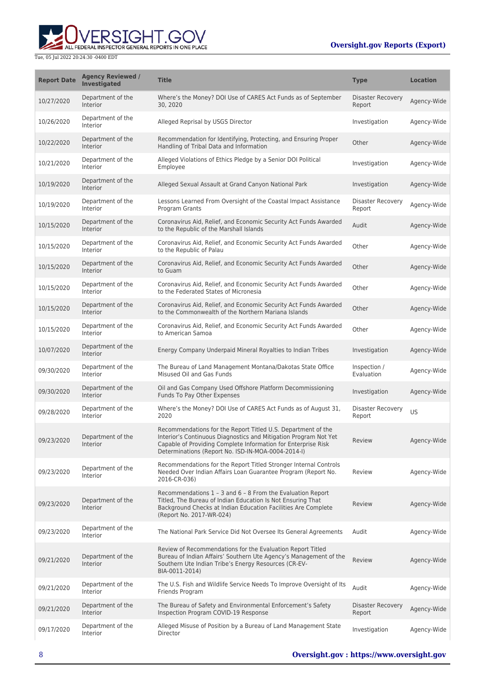

| <b>Report Date</b> | <b>Agency Reviewed /</b><br><b>Investigated</b> | <b>Title</b>                                                                                                                                                                                                                                            | <b>Type</b>                        | <b>Location</b> |
|--------------------|-------------------------------------------------|---------------------------------------------------------------------------------------------------------------------------------------------------------------------------------------------------------------------------------------------------------|------------------------------------|-----------------|
| 10/27/2020         | Department of the<br>Interior                   | Where's the Money? DOI Use of CARES Act Funds as of September<br>30.2020                                                                                                                                                                                | <b>Disaster Recovery</b><br>Report | Agency-Wide     |
| 10/26/2020         | Department of the<br>Interior                   | Alleged Reprisal by USGS Director                                                                                                                                                                                                                       | Investigation                      | Agency-Wide     |
| 10/22/2020         | Department of the<br><b>Interior</b>            | Recommendation for Identifying, Protecting, and Ensuring Proper<br>Handling of Tribal Data and Information                                                                                                                                              | Other                              | Agency-Wide     |
| 10/21/2020         | Department of the<br>Interior                   | Alleged Violations of Ethics Pledge by a Senior DOI Political<br>Employee                                                                                                                                                                               | Investigation                      | Agency-Wide     |
| 10/19/2020         | Department of the<br>Interior                   | Alleged Sexual Assault at Grand Canyon National Park                                                                                                                                                                                                    | Investigation                      | Agency-Wide     |
| 10/19/2020         | Department of the<br>Interior                   | Lessons Learned From Oversight of the Coastal Impact Assistance<br>Program Grants                                                                                                                                                                       | <b>Disaster Recovery</b><br>Report | Agency-Wide     |
| 10/15/2020         | Department of the<br>Interior                   | Coronavirus Aid, Relief, and Economic Security Act Funds Awarded<br>to the Republic of the Marshall Islands                                                                                                                                             | Audit                              | Agency-Wide     |
| 10/15/2020         | Department of the<br>Interior                   | Coronavirus Aid, Relief, and Economic Security Act Funds Awarded<br>to the Republic of Palau                                                                                                                                                            | Other                              | Agency-Wide     |
| 10/15/2020         | Department of the<br>Interior                   | Coronavirus Aid, Relief, and Economic Security Act Funds Awarded<br>to Guam                                                                                                                                                                             | Other                              | Agency-Wide     |
| 10/15/2020         | Department of the<br>Interior                   | Coronavirus Aid, Relief, and Economic Security Act Funds Awarded<br>to the Federated States of Micronesia                                                                                                                                               | Other                              | Agency-Wide     |
| 10/15/2020         | Department of the<br>Interior                   | Coronavirus Aid, Relief, and Economic Security Act Funds Awarded<br>to the Commonwealth of the Northern Mariana Islands                                                                                                                                 | Other                              | Agency-Wide     |
| 10/15/2020         | Department of the<br>Interior                   | Coronavirus Aid, Relief, and Economic Security Act Funds Awarded<br>to American Samoa                                                                                                                                                                   | Other                              | Agency-Wide     |
| 10/07/2020         | Department of the<br>Interior                   | Energy Company Underpaid Mineral Royalties to Indian Tribes                                                                                                                                                                                             | Investigation                      | Agency-Wide     |
| 09/30/2020         | Department of the<br>Interior                   | The Bureau of Land Management Montana/Dakotas State Office<br>Misused Oil and Gas Funds                                                                                                                                                                 | Inspection /<br>Evaluation         | Agency-Wide     |
| 09/30/2020         | Department of the<br>Interior                   | Oil and Gas Company Used Offshore Platform Decommissioning<br>Funds To Pay Other Expenses                                                                                                                                                               | Investigation                      | Agency-Wide     |
| 09/28/2020         | Department of the<br>Interior                   | Where's the Money? DOI Use of CARES Act Funds as of August 31,<br>2020                                                                                                                                                                                  | <b>Disaster Recovery</b><br>Report | US              |
| 09/23/2020         | Department of the<br>Interior                   | Recommendations for the Report Titled U.S. Department of the<br>Interior's Continuous Diagnostics and Mitigation Program Not Yet<br>Capable of Providing Complete Information for Enterprise Risk<br>Determinations (Report No. ISD-IN-MOA-0004-2014-I) | Review                             | Agency-Wide     |
| 09/23/2020         | Department of the<br>Interior                   | Recommendations for the Report Titled Stronger Internal Controls<br>Needed Over Indian Affairs Loan Guarantee Program (Report No.<br>2016-CR-036)                                                                                                       | Review                             | Agency-Wide     |
| 09/23/2020         | Department of the<br>Interior                   | Recommendations 1 - 3 and 6 - 8 From the Evaluation Report<br>Titled, The Bureau of Indian Education Is Not Ensuring That<br>Background Checks at Indian Education Facilities Are Complete<br>(Report No. 2017-WR-024)                                  | Review                             | Agency-Wide     |
| 09/23/2020         | Department of the<br>Interior                   | The National Park Service Did Not Oversee Its General Agreements                                                                                                                                                                                        | Audit                              | Agency-Wide     |
| 09/21/2020         | Department of the<br>Interior                   | Review of Recommendations for the Evaluation Report Titled<br>Bureau of Indian Affairs' Southern Ute Agency's Management of the<br>Southern Ute Indian Tribe's Energy Resources (CR-EV-<br>BIA-0011-2014)                                               | Review                             | Agency-Wide     |
| 09/21/2020         | Department of the<br>Interior                   | The U.S. Fish and Wildlife Service Needs To Improve Oversight of Its<br>Friends Program                                                                                                                                                                 | Audit                              | Agency-Wide     |
| 09/21/2020         | Department of the<br><b>Interior</b>            | The Bureau of Safety and Environmental Enforcement's Safety<br>Inspection Program COVID-19 Response                                                                                                                                                     | <b>Disaster Recovery</b><br>Report | Agency-Wide     |
| 09/17/2020         | Department of the<br>Interior                   | Alleged Misuse of Position by a Bureau of Land Management State<br>Director                                                                                                                                                                             | Investigation                      | Agency-Wide     |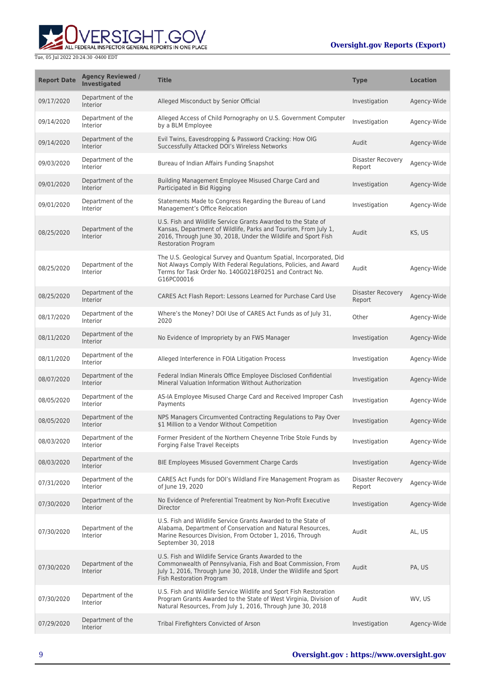

| <b>Report Date</b> | <b>Agency Reviewed /</b><br><b>Investigated</b> | <b>Title</b>                                                                                                                                                                                                                     | <b>Type</b>                 | <b>Location</b> |
|--------------------|-------------------------------------------------|----------------------------------------------------------------------------------------------------------------------------------------------------------------------------------------------------------------------------------|-----------------------------|-----------------|
| 09/17/2020         | Department of the<br>Interior                   | Alleged Misconduct by Senior Official                                                                                                                                                                                            | Investigation               | Agency-Wide     |
| 09/14/2020         | Department of the<br>Interior                   | Alleged Access of Child Pornography on U.S. Government Computer<br>by a BLM Employee                                                                                                                                             | Investigation               | Agency-Wide     |
| 09/14/2020         | Department of the<br>Interior                   | Evil Twins, Eavesdropping & Password Cracking: How OIG<br>Successfully Attacked DOI's Wireless Networks                                                                                                                          | Audit                       | Agency-Wide     |
| 09/03/2020         | Department of the<br>Interior                   | Bureau of Indian Affairs Funding Snapshot                                                                                                                                                                                        | Disaster Recovery<br>Report | Agency-Wide     |
| 09/01/2020         | Department of the<br>Interior                   | Building Management Employee Misused Charge Card and<br>Participated in Bid Rigging                                                                                                                                              | Investigation               | Agency-Wide     |
| 09/01/2020         | Department of the<br>Interior                   | Statements Made to Congress Regarding the Bureau of Land<br>Management's Office Relocation                                                                                                                                       | Investigation               | Agency-Wide     |
| 08/25/2020         | Department of the<br>Interior                   | U.S. Fish and Wildlife Service Grants Awarded to the State of<br>Kansas, Department of Wildlife, Parks and Tourism, From July 1,<br>2016, Through June 30, 2018, Under the Wildlife and Sport Fish<br><b>Restoration Program</b> | Audit                       | KS. US          |
| 08/25/2020         | Department of the<br>Interior                   | The U.S. Geological Survey and Quantum Spatial, Incorporated, Did<br>Not Always Comply With Federal Regulations, Policies, and Award<br>Terms for Task Order No. 140G0218F0251 and Contract No.<br>G16PC00016                    | Audit                       | Agency-Wide     |
| 08/25/2020         | Department of the<br>Interior                   | CARES Act Flash Report: Lessons Learned for Purchase Card Use                                                                                                                                                                    | Disaster Recovery<br>Report | Agency-Wide     |
| 08/17/2020         | Department of the<br>Interior                   | Where's the Money? DOI Use of CARES Act Funds as of July 31,<br>2020                                                                                                                                                             | Other                       | Agency-Wide     |
| 08/11/2020         | Department of the<br>Interior                   | No Evidence of Impropriety by an FWS Manager                                                                                                                                                                                     | Investigation               | Agency-Wide     |
| 08/11/2020         | Department of the<br>Interior                   | Alleged Interference in FOIA Litigation Process                                                                                                                                                                                  | Investigation               | Agency-Wide     |
| 08/07/2020         | Department of the<br>Interior                   | Federal Indian Minerals Office Employee Disclosed Confidential<br>Mineral Valuation Information Without Authorization                                                                                                            | Investigation               | Agency-Wide     |
| 08/05/2020         | Department of the<br>Interior                   | AS-IA Employee Misused Charge Card and Received Improper Cash<br>Payments                                                                                                                                                        | Investigation               | Agency-Wide     |
| 08/05/2020         | Department of the<br>Interior                   | NPS Managers Circumvented Contracting Regulations to Pay Over<br>\$1 Million to a Vendor Without Competition                                                                                                                     | Investigation               | Agency-Wide     |
| 08/03/2020         | Department of the<br>Interior                   | Former President of the Northern Cheyenne Tribe Stole Funds by<br><b>Forging False Travel Receipts</b>                                                                                                                           | Investigation               | Agency-Wide     |
| 08/03/2020         | Department of the<br>Interior                   | BIE Employees Misused Government Charge Cards                                                                                                                                                                                    | Investigation               | Agency-Wide     |
| 07/31/2020         | Department of the<br>Interior                   | CARES Act Funds for DOI's Wildland Fire Management Program as<br>of June 19, 2020                                                                                                                                                | Disaster Recovery<br>Report | Agency-Wide     |
| 07/30/2020         | Department of the<br>Interior                   | No Evidence of Preferential Treatment by Non-Profit Executive<br>Director                                                                                                                                                        | Investigation               | Agency-Wide     |
| 07/30/2020         | Department of the<br>Interior                   | U.S. Fish and Wildlife Service Grants Awarded to the State of<br>Alabama, Department of Conservation and Natural Resources,<br>Marine Resources Division, From October 1, 2016, Through<br>September 30, 2018                    | Audit                       | AL, US          |
| 07/30/2020         | Department of the<br>Interior                   | U.S. Fish and Wildlife Service Grants Awarded to the<br>Commonwealth of Pennsylvania, Fish and Boat Commission, From<br>July 1, 2016, Through June 30, 2018, Under the Wildlife and Sport<br>Fish Restoration Program            | Audit                       | PA, US          |
| 07/30/2020         | Department of the<br>Interior                   | U.S. Fish and Wildlife Service Wildlife and Sport Fish Restoration<br>Program Grants Awarded to the State of West Virginia, Division of<br>Natural Resources, From July 1, 2016, Through June 30, 2018                           | Audit                       | WV, US          |
| 07/29/2020         | Department of the<br>Interior                   | Tribal Firefighters Convicted of Arson                                                                                                                                                                                           | Investigation               | Agency-Wide     |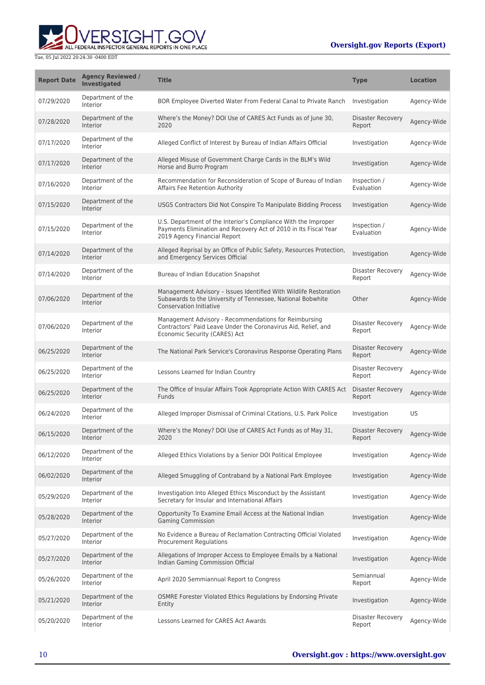## **Oversight.gov Reports (Export)**



| <b>Report Date</b> | <b>Agency Reviewed /</b><br><b>Investigated</b> | <b>Title</b>                                                                                                                                                       | <b>Type</b>                        | <b>Location</b> |
|--------------------|-------------------------------------------------|--------------------------------------------------------------------------------------------------------------------------------------------------------------------|------------------------------------|-----------------|
| 07/29/2020         | Department of the<br>Interior                   | BOR Employee Diverted Water From Federal Canal to Private Ranch                                                                                                    | Investigation                      | Agency-Wide     |
| 07/28/2020         | Department of the<br><b>Interior</b>            | Where's the Money? DOI Use of CARES Act Funds as of June 30,<br>2020                                                                                               | Disaster Recovery<br>Report        | Agency-Wide     |
| 07/17/2020         | Department of the<br>Interior                   | Alleged Conflict of Interest by Bureau of Indian Affairs Official                                                                                                  | Investigation                      | Agency-Wide     |
| 07/17/2020         | Department of the<br>Interior                   | Alleged Misuse of Government Charge Cards in the BLM's Wild<br>Horse and Burro Program                                                                             | Investigation                      | Agency-Wide     |
| 07/16/2020         | Department of the<br>Interior                   | Recommendation for Reconsideration of Scope of Bureau of Indian<br><b>Affairs Fee Retention Authority</b>                                                          | Inspection /<br>Evaluation         | Agency-Wide     |
| 07/15/2020         | Department of the<br><b>Interior</b>            | USGS Contractors Did Not Conspire To Manipulate Bidding Process                                                                                                    | Investigation                      | Agency-Wide     |
| 07/15/2020         | Department of the<br>Interior                   | U.S. Department of the Interior's Compliance With the Improper<br>Payments Elimination and Recovery Act of 2010 in Its Fiscal Year<br>2019 Agency Financial Report | Inspection /<br>Evaluation         | Agency-Wide     |
| 07/14/2020         | Department of the<br><b>Interior</b>            | Alleged Reprisal by an Office of Public Safety, Resources Protection,<br>and Emergency Services Official                                                           | Investigation                      | Agency-Wide     |
| 07/14/2020         | Department of the<br>Interior                   | Bureau of Indian Education Snapshot                                                                                                                                | Disaster Recovery<br>Report        | Agency-Wide     |
| 07/06/2020         | Department of the<br><b>Interior</b>            | Management Advisory - Issues Identified With Wildlife Restoration<br>Subawards to the University of Tennessee, National Bobwhite<br>Conservation Initiative        | Other                              | Agency-Wide     |
| 07/06/2020         | Department of the<br>Interior                   | Management Advisory - Recommendations for Reimbursing<br>Contractors' Paid Leave Under the Coronavirus Aid, Relief, and<br>Economic Security (CARES) Act           | Disaster Recovery<br>Report        | Agency-Wide     |
| 06/25/2020         | Department of the<br><b>Interior</b>            | The National Park Service's Coronavirus Response Operating Plans                                                                                                   | Disaster Recovery<br>Report        | Agency-Wide     |
| 06/25/2020         | Department of the<br>Interior                   | Lessons Learned for Indian Country                                                                                                                                 | Disaster Recovery<br>Report        | Agency-Wide     |
| 06/25/2020         | Department of the<br>Interior                   | The Office of Insular Affairs Took Appropriate Action With CARES Act<br>Funds                                                                                      | <b>Disaster Recovery</b><br>Report | Agency-Wide     |
| 06/24/2020         | Department of the<br>Interior                   | Alleged Improper Dismissal of Criminal Citations, U.S. Park Police                                                                                                 | Investigation                      | US              |
| 06/15/2020         | Department of the<br>Interior                   | Where's the Money? DOI Use of CARES Act Funds as of May 31,<br>2020                                                                                                | Disaster Recovery<br>Report        | Agency-Wide     |
| 06/12/2020         | Department of the<br>Interior                   | Alleged Ethics Violations by a Senior DOI Political Employee                                                                                                       | Investigation                      | Agency-Wide     |
| 06/02/2020         | Department of the<br><b>Interior</b>            | Alleged Smuggling of Contraband by a National Park Employee                                                                                                        | Investigation                      | Agency-Wide     |
| 05/29/2020         | Department of the<br>Interior                   | Investigation Into Alleged Ethics Misconduct by the Assistant<br>Secretary for Insular and International Affairs                                                   | Investigation                      | Agency-Wide     |
| 05/28/2020         | Department of the<br>Interior                   | Opportunity To Examine Email Access at the National Indian<br><b>Gaming Commission</b>                                                                             | Investigation                      | Agency-Wide     |
| 05/27/2020         | Department of the<br>Interior                   | No Evidence a Bureau of Reclamation Contracting Official Violated<br><b>Procurement Regulations</b>                                                                | Investigation                      | Agency-Wide     |
| 05/27/2020         | Department of the<br>Interior                   | Allegations of Improper Access to Employee Emails by a National<br>Indian Gaming Commission Official                                                               | Investigation                      | Agency-Wide     |
| 05/26/2020         | Department of the<br>Interior                   | April 2020 Semmiannual Report to Congress                                                                                                                          | Semiannual<br>Report               | Agency-Wide     |
| 05/21/2020         | Department of the<br>Interior                   | OSMRE Forester Violated Ethics Regulations by Endorsing Private<br>Entity                                                                                          | Investigation                      | Agency-Wide     |
| 05/20/2020         | Department of the<br>Interior                   | Lessons Learned for CARES Act Awards                                                                                                                               | Disaster Recovery<br>Report        | Agency-Wide     |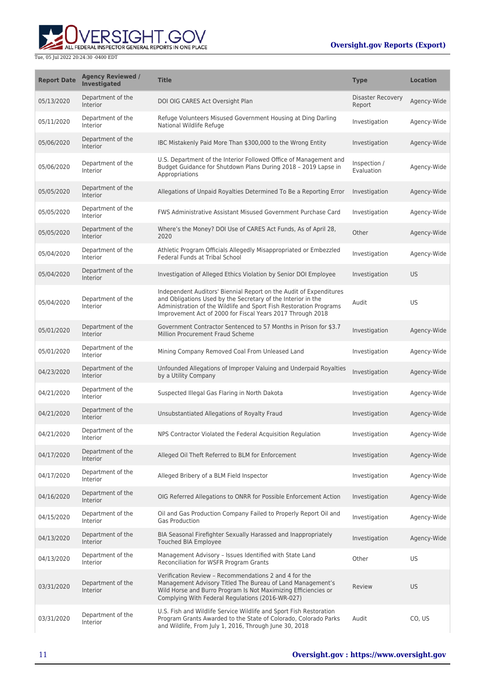## **WERSIGHT.GOV**

| <b>Report Date</b> | <b>Agency Reviewed /</b><br><b>Investigated</b> | <b>Title</b>                                                                                                                                                                                                                                                           | <b>Type</b>                 | <b>Location</b> |
|--------------------|-------------------------------------------------|------------------------------------------------------------------------------------------------------------------------------------------------------------------------------------------------------------------------------------------------------------------------|-----------------------------|-----------------|
| 05/13/2020         | Department of the<br>Interior                   | DOI OIG CARES Act Oversight Plan                                                                                                                                                                                                                                       | Disaster Recovery<br>Report | Agency-Wide     |
| 05/11/2020         | Department of the<br>Interior                   | Refuge Volunteers Misused Government Housing at Ding Darling<br>National Wildlife Refuge                                                                                                                                                                               | Investigation               | Agency-Wide     |
| 05/06/2020         | Department of the<br><b>Interior</b>            | IBC Mistakenly Paid More Than \$300,000 to the Wrong Entity                                                                                                                                                                                                            | Investigation               | Agency-Wide     |
| 05/06/2020         | Department of the<br>Interior                   | U.S. Department of the Interior Followed Office of Management and<br>Budget Guidance for Shutdown Plans During 2018 - 2019 Lapse in<br>Appropriations                                                                                                                  | Inspection /<br>Evaluation  | Agency-Wide     |
| 05/05/2020         | Department of the<br><b>Interior</b>            | Allegations of Unpaid Royalties Determined To Be a Reporting Error                                                                                                                                                                                                     | Investigation               | Agency-Wide     |
| 05/05/2020         | Department of the<br>Interior                   | FWS Administrative Assistant Misused Government Purchase Card                                                                                                                                                                                                          | Investigation               | Agency-Wide     |
| 05/05/2020         | Department of the<br>Interior                   | Where's the Money? DOI Use of CARES Act Funds, As of April 28,<br>2020                                                                                                                                                                                                 | Other                       | Agency-Wide     |
| 05/04/2020         | Department of the<br>Interior                   | Athletic Program Officials Allegedly Misappropriated or Embezzled<br><b>Federal Funds at Tribal School</b>                                                                                                                                                             | Investigation               | Agency-Wide     |
| 05/04/2020         | Department of the<br>Interior                   | Investigation of Alleged Ethics Violation by Senior DOI Employee                                                                                                                                                                                                       | Investigation               | <b>US</b>       |
| 05/04/2020         | Department of the<br>Interior                   | Independent Auditors' Biennial Report on the Audit of Expenditures<br>and Obligations Used by the Secretary of the Interior in the<br>Administration of the Wildlife and Sport Fish Restoration Programs<br>Improvement Act of 2000 for Fiscal Years 2017 Through 2018 | Audit                       | US              |
| 05/01/2020         | Department of the<br>Interior                   | Government Contractor Sentenced to 57 Months in Prison for \$3.7<br>Million Procurement Fraud Scheme                                                                                                                                                                   | Investigation               | Agency-Wide     |
| 05/01/2020         | Department of the<br>Interior                   | Mining Company Removed Coal From Unleased Land                                                                                                                                                                                                                         | Investigation               | Agency-Wide     |
| 04/23/2020         | Department of the<br>Interior                   | Unfounded Allegations of Improper Valuing and Underpaid Royalties<br>by a Utility Company                                                                                                                                                                              | Investigation               | Agency-Wide     |
| 04/21/2020         | Department of the<br>Interior                   | Suspected Illegal Gas Flaring in North Dakota                                                                                                                                                                                                                          | Investigation               | Agency-Wide     |
| 04/21/2020         | Department of the<br>Interior                   | Unsubstantiated Allegations of Royalty Fraud                                                                                                                                                                                                                           | Investigation               | Agency-Wide     |
| 04/21/2020         | Department of the<br>Interior                   | NPS Contractor Violated the Federal Acquisition Regulation                                                                                                                                                                                                             | Investigation               | Agency-Wide     |
| 04/17/2020         | Department of the<br>Interior                   | Alleged Oil Theft Referred to BLM for Enforcement                                                                                                                                                                                                                      | Investigation               | Agency-Wide     |
| 04/17/2020         | Department of the<br>Interior                   | Alleged Bribery of a BLM Field Inspector                                                                                                                                                                                                                               | Investigation               | Agency-Wide     |
| 04/16/2020         | Department of the<br>Interior                   | OIG Referred Allegations to ONRR for Possible Enforcement Action                                                                                                                                                                                                       | Investigation               | Agency-Wide     |
| 04/15/2020         | Department of the<br>Interior                   | Oil and Gas Production Company Failed to Properly Report Oil and<br><b>Gas Production</b>                                                                                                                                                                              | Investigation               | Agency-Wide     |
| 04/13/2020         | Department of the<br><b>Interior</b>            | BIA Seasonal Firefighter Sexually Harassed and Inappropriately<br>Touched BIA Employee                                                                                                                                                                                 | Investigation               | Agency-Wide     |
| 04/13/2020         | Department of the<br>Interior                   | Management Advisory - Issues Identified with State Land<br>Reconciliation for WSFR Program Grants                                                                                                                                                                      | Other                       | US              |
| 03/31/2020         | Department of the<br>Interior                   | Verification Review - Recommendations 2 and 4 for the<br>Management Advisory Titled The Bureau of Land Management's<br>Wild Horse and Burro Program Is Not Maximizing Efficiencies or<br>Complying With Federal Regulations (2016-WR-027)                              | Review                      | US              |
| 03/31/2020         | Department of the<br>Interior                   | U.S. Fish and Wildlife Service Wildlife and Sport Fish Restoration<br>Program Grants Awarded to the State of Colorado, Colorado Parks<br>and Wildlife, From July 1, 2016, Through June 30, 2018                                                                        | Audit                       | CO, US          |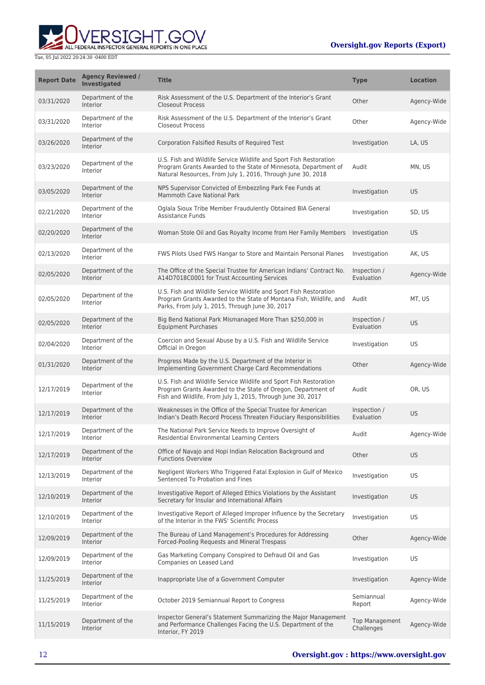

ш

| <b>Report Date</b> | <b>Agency Reviewed /</b><br><b>Investigated</b> | <b>Title</b>                                                                                                                                                                                         | <b>Type</b>                  | <b>Location</b> |
|--------------------|-------------------------------------------------|------------------------------------------------------------------------------------------------------------------------------------------------------------------------------------------------------|------------------------------|-----------------|
| 03/31/2020         | Department of the<br><b>Interior</b>            | Risk Assessment of the U.S. Department of the Interior's Grant<br><b>Closeout Process</b>                                                                                                            | Other                        | Agency-Wide     |
| 03/31/2020         | Department of the<br>Interior                   | Risk Assessment of the U.S. Department of the Interior's Grant<br><b>Closeout Process</b>                                                                                                            | Other                        | Agency-Wide     |
| 03/26/2020         | Department of the<br>Interior                   | Corporation Falsified Results of Required Test                                                                                                                                                       | Investigation                | LA, US          |
| 03/23/2020         | Department of the<br>Interior                   | U.S. Fish and Wildlife Service Wildlife and Sport Fish Restoration<br>Program Grants Awarded to the State of Minnesota, Department of<br>Natural Resources, From July 1, 2016, Through June 30, 2018 | Audit                        | MN, US          |
| 03/05/2020         | Department of the<br>Interior                   | NPS Supervisor Convicted of Embezzling Park Fee Funds at<br><b>Mammoth Cave National Park</b>                                                                                                        | Investigation                | US              |
| 02/21/2020         | Department of the<br>Interior                   | Oglala Sioux Tribe Member Fraudulently Obtained BIA General<br><b>Assistance Funds</b>                                                                                                               | Investigation                | SD, US          |
| 02/20/2020         | Department of the<br><b>Interior</b>            | Woman Stole Oil and Gas Royalty Income from Her Family Members                                                                                                                                       | Investigation                | <b>US</b>       |
| 02/13/2020         | Department of the<br>Interior                   | FWS Pilots Used FWS Hangar to Store and Maintain Personal Planes                                                                                                                                     | Investigation                | AK, US          |
| 02/05/2020         | Department of the<br>Interior                   | The Office of the Special Trustee for American Indians' Contract No.<br>A14D7018C0001 for Trust Accounting Services                                                                                  | Inspection /<br>Evaluation   | Agency-Wide     |
| 02/05/2020         | Department of the<br>Interior                   | U.S. Fish and Wildlife Service Wildlife and Sport Fish Restoration<br>Program Grants Awarded to the State of Montana Fish, Wildlife, and<br>Parks, From July 1, 2015, Through June 30, 2017          | Audit                        | MT, US          |
| 02/05/2020         | Department of the<br>Interior                   | Big Bend National Park Mismanaged More Than \$250,000 in<br><b>Equipment Purchases</b>                                                                                                               | Inspection /<br>Evaluation   | US              |
| 02/04/2020         | Department of the<br>Interior                   | Coercion and Sexual Abuse by a U.S. Fish and Wildlife Service<br>Official in Oregon                                                                                                                  | Investigation                | US              |
| 01/31/2020         | Department of the<br>Interior                   | Progress Made by the U.S. Department of the Interior in<br>Implementing Government Charge Card Recommendations                                                                                       | Other                        | Agency-Wide     |
| 12/17/2019         | Department of the<br>Interior                   | U.S. Fish and Wildlife Service Wildlife and Sport Fish Restoration<br>Program Grants Awarded to the State of Oregon, Department of<br>Fish and Wildlife, From July 1, 2015, Through June 30, 2017    | Audit                        | OR, US          |
| 12/17/2019         | Department of the<br>Interior                   | Weaknesses in the Office of the Special Trustee for American<br>Indian's Death Record Process Threaten Fiduciary Responsibilities                                                                    | Inspection /<br>Evaluation   | US              |
| 12/17/2019         | Department of the<br>Interior                   | The National Park Service Needs to Improve Oversight of<br>Residential Environmental Learning Centers                                                                                                | Audit                        | Agency-Wide     |
| 12/17/2019         | Department of the<br>Interior                   | Office of Navajo and Hopi Indian Relocation Background and<br><b>Functions Overview</b>                                                                                                              | Other                        | US              |
| 12/13/2019         | Department of the<br>Interior                   | Negligent Workers Who Triggered Fatal Explosion in Gulf of Mexico<br>Sentenced To Probation and Fines                                                                                                | Investigation                | US              |
| 12/10/2019         | Department of the<br>Interior                   | Investigative Report of Alleged Ethics Violations by the Assistant<br>Secretary for Insular and International Affairs                                                                                | Investigation                | <b>US</b>       |
| 12/10/2019         | Department of the<br>Interior                   | Investigative Report of Alleged Improper Influence by the Secretary<br>of the Interior in the FWS' Scientific Process                                                                                | Investigation                | US              |
| 12/09/2019         | Department of the<br>Interior                   | The Bureau of Land Management's Procedures for Addressing<br>Forced-Pooling Requests and Mineral Trespass                                                                                            | Other                        | Agency-Wide     |
| 12/09/2019         | Department of the<br>Interior                   | Gas Marketing Company Conspired to Defraud Oil and Gas<br>Companies on Leased Land                                                                                                                   | Investigation                | US              |
| 11/25/2019         | Department of the<br>Interior                   | Inappropriate Use of a Government Computer                                                                                                                                                           | Investigation                | Agency-Wide     |
| 11/25/2019         | Department of the<br>Interior                   | October 2019 Semiannual Report to Congress                                                                                                                                                           | Semiannual<br>Report         | Agency-Wide     |
| 11/15/2019         | Department of the<br><b>Interior</b>            | Inspector General's Statement Summarizing the Major Management<br>and Performance Challenges Facing the U.S. Department of the<br>Interior, FY 2019                                                  | Top Management<br>Challenges | Agency-Wide     |